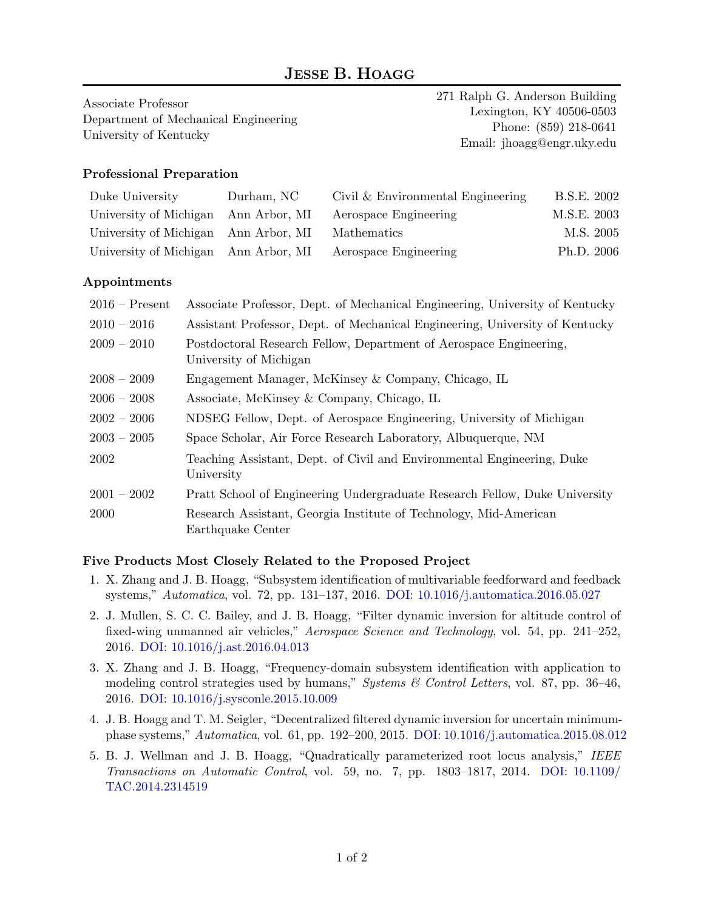# **JESSE B. HOAGG**

Associate Professor Department of Mechanical Engineering University of Kentucky

271 Ralph G. Anderson Building Lexington, KY 40506-0503 Phone: (859) 218-0641 Email: jhoagg@engr.uky.edu

### **Professional Preparation**

| Duke University                                  | Durham, NC | Civil & Environmental Engineering                          | B.S.E. 2002 |
|--------------------------------------------------|------------|------------------------------------------------------------|-------------|
|                                                  |            | University of Michigan Ann Arbor, MI Aerospace Engineering | M.S.E. 2003 |
| University of Michigan Ann Arbor, MI Mathematics |            |                                                            | M.S. 2005   |
|                                                  |            | University of Michigan Ann Arbor, MI Aerospace Engineering | Ph.D. 2006  |

#### **Appointments**

| $2016$ – Present | Associate Professor, Dept. of Mechanical Engineering, University of Kentucky                 |
|------------------|----------------------------------------------------------------------------------------------|
| $2010 - 2016$    | Assistant Professor, Dept. of Mechanical Engineering, University of Kentucky                 |
| $2009 - 2010$    | Postdoctoral Research Fellow, Department of Aerospace Engineering,<br>University of Michigan |
| $2008 - 2009$    | Engagement Manager, McKinsey & Company, Chicago, IL                                          |
| $2006 - 2008$    | Associate, McKinsey & Company, Chicago, IL                                                   |
| $2002 - 2006$    | NDSEG Fellow, Dept. of Aerospace Engineering, University of Michigan                         |
| $2003 - 2005$    | Space Scholar, Air Force Research Laboratory, Albuquerque, NM                                |
| 2002             | Teaching Assistant, Dept. of Civil and Environmental Engineering, Duke<br>University         |
| $2001 - 2002$    | Pratt School of Engineering Undergraduate Research Fellow, Duke University                   |
| <b>2000</b>      | Research Assistant, Georgia Institute of Technology, Mid-American<br>Earthquake Center       |

#### **Five Products Most Closely Related to the Proposed Project**

- 1. X. Zhang and J. B. Hoagg, "Subsystem identification of multivariable feedforward and feedback systems," *Automatica*, vol. 72, pp. 131–137, 2016. [DOI: 10.1016/j.automatica.2016.05.027](http://dx.doi.org/10.1016/j.automatica.2016.05.027)
- 2. J. Mullen, S. C. C. Bailey, and J. B. Hoagg, "Filter dynamic inversion for altitude control of fixed-wing unmanned air vehicles," *Aerospace Science and Technology*, vol. 54, pp. 241–252, 2016. [DOI: 10.1016/j.ast.2016.04.013](http://dx.doi.org/10.1016/j.ast.2016.04.013)
- 3. X. Zhang and J. B. Hoagg, "Frequency-domain subsystem identification with application to modeling control strategies used by humans," *Systems & Control Letters*, vol. 87, pp. 36–46, 2016. [DOI: 10.1016/j.sysconle.2015.10.009](http://dx.doi.org/10.1016/j.sysconle.2015.10.009)
- 4. J. B. Hoagg and T. M. Seigler, "Decentralized filtered dynamic inversion for uncertain minimumphase systems," *Automatica*, vol. 61, pp. 192–200, 2015. [DOI: 10.1016/j.automatica.2015.08.012](http://dx.doi.org/10.1016/j.automatica.2015.08.012)
- 5. B. J. Wellman and J. B. Hoagg, "Quadratically parameterized root locus analysis," *IEEE Transactions on Automatic Control*, vol. 59, no. 7, pp. 1803–1817, 2014. [DOI: 10.1109/](http://dx.doi.org/10.1109/TAC.2014.2314519) [TAC.2014.2314519](http://dx.doi.org/10.1109/TAC.2014.2314519)